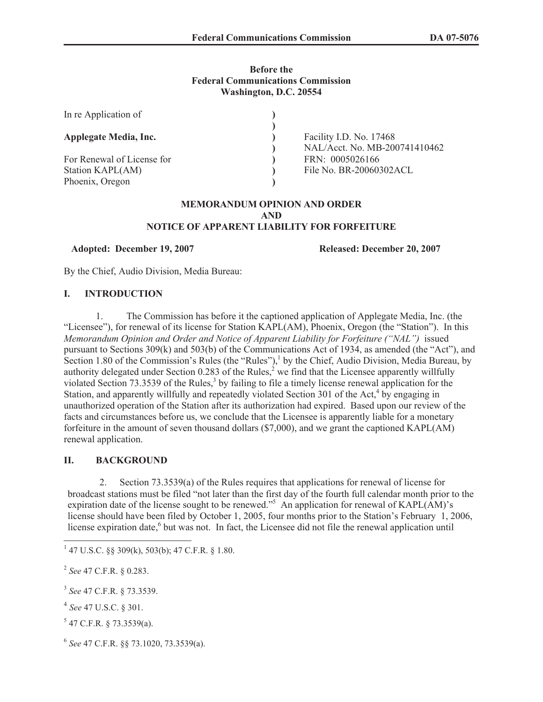#### **Before the Federal Communications Commission Washington, D.C. 20554**

| In re Application of                                              |                                                          |
|-------------------------------------------------------------------|----------------------------------------------------------|
| <b>Applegate Media, Inc.</b>                                      | Facility I.D. No. 17468<br>NAL/Acct. No. MB-200741410462 |
| For Renewal of License for<br>Station KAPL(AM)<br>Phoenix, Oregon | FRN: 0005026166<br>File No. BR-20060302ACL               |

#### **MEMORANDUM OPINION AND ORDER AND NOTICE OF APPARENT LIABILITY FOR FORFEITURE**

**Adopted: December 19, 2007 Released: December 20, 2007**

By the Chief, Audio Division, Media Bureau:

#### **I. INTRODUCTION**

1. The Commission has before it the captioned application of Applegate Media, Inc. (the "Licensee"), for renewal of its license for Station KAPL(AM), Phoenix, Oregon (the "Station"). In this *Memorandum Opinion and Order and Notice of Apparent Liability for Forfeiture ("NAL")* issued pursuant to Sections 309(k) and 503(b) of the Communications Act of 1934, as amended (the "Act"), and Section 1.80 of the Commission's Rules (the "Rules"),<sup>1</sup> by the Chief, Audio Division, Media Bureau, by authority delegated under Section 0.283 of the Rules,  $\frac{2}{3}$  we find that the Licensee apparently willfully violated Section 73.3539 of the Rules,<sup>3</sup> by failing to file a timely license renewal application for the Station, and apparently willfully and repeatedly violated Section 301 of the Act,<sup>4</sup> by engaging in unauthorized operation of the Station after its authorization had expired. Based upon our review of the facts and circumstances before us, we conclude that the Licensee is apparently liable for a monetary forfeiture in the amount of seven thousand dollars (\$7,000), and we grant the captioned KAPL(AM) renewal application.

## **II. BACKGROUND**

2. Section 73.3539(a) of the Rules requires that applications for renewal of license for broadcast stations must be filed "not later than the first day of the fourth full calendar month prior to the expiration date of the license sought to be renewed."<sup>5</sup> An application for renewal of KAPL(AM)'s license should have been filed by October 1, 2005, four months prior to the Station's February 1, 2006, license expiration date,<sup>6</sup> but was not. In fact, the Licensee did not file the renewal application until

2 *See* 47 C.F.R. § 0.283.

- 4 *See* 47 U.S.C. § 301.
- $5$  47 C.F.R. § 73.3539(a).
- 6 *See* 47 C.F.R. §§ 73.1020, 73.3539(a).

 $1$  47 U.S.C. §§ 309(k), 503(b); 47 C.F.R. § 1.80.

<sup>3</sup> *See* 47 C.F.R. § 73.3539.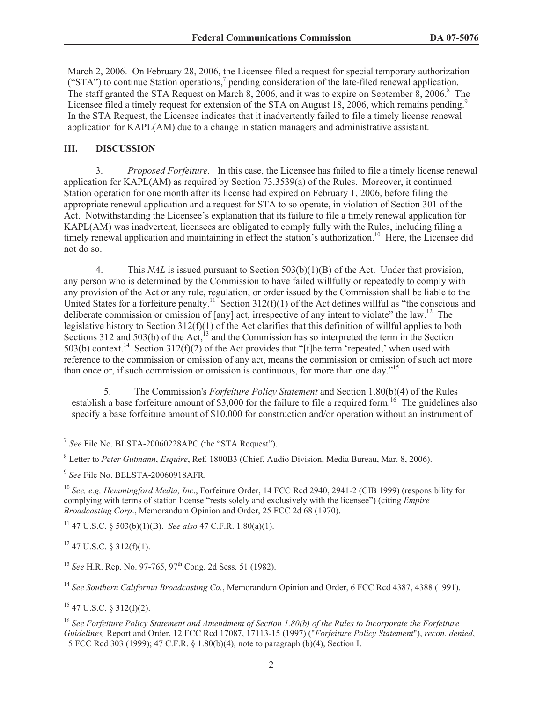March 2, 2006. On February 28, 2006, the Licensee filed a request for special temporary authorization ("STA") to continue Station operations,<sup>7</sup> pending consideration of the late-filed renewal application. The staff granted the STA Request on March 8, 2006, and it was to expire on September 8, 2006.<sup>8</sup> The Licensee filed a timely request for extension of the STA on August 18, 2006, which remains pending.<sup>9</sup> In the STA Request, the Licensee indicates that it inadvertently failed to file a timely license renewal application for KAPL(AM) due to a change in station managers and administrative assistant.

## **III. DISCUSSION**

3. *Proposed Forfeiture.* In this case, the Licensee has failed to file a timely license renewal application for KAPL(AM) as required by Section 73.3539(a) of the Rules. Moreover, it continued Station operation for one month after its license had expired on February 1, 2006, before filing the appropriate renewal application and a request for STA to so operate, in violation of Section 301 of the Act. Notwithstanding the Licensee's explanation that its failure to file a timely renewal application for KAPL(AM) was inadvertent, licensees are obligated to comply fully with the Rules, including filing a timely renewal application and maintaining in effect the station's authorization.<sup>10</sup> Here, the Licensee did not do so.

4. This *NAL* is issued pursuant to Section 503(b)(1)(B) of the Act. Under that provision, any person who is determined by the Commission to have failed willfully or repeatedly to comply with any provision of the Act or any rule, regulation, or order issued by the Commission shall be liable to the United States for a forfeiture penalty.<sup>11</sup> Section 312(f)(1) of the Act defines willful as "the conscious and deliberate commission or omission of [any] act, irrespective of any intent to violate" the law.<sup>12</sup> The legislative history to Section 312(f)(1) of the Act clarifies that this definition of willful applies to both Sections 312 and 503(b) of the Act,<sup>13</sup> and the Commission has so interpreted the term in the Section 503(b) context.<sup>14</sup> Section 312(f)(2) of the Act provides that "[t]he term 'repeated,' when used with reference to the commission or omission of any act, means the commission or omission of such act more than once or, if such commission or omission is continuous, for more than one day."<sup>15</sup>

5. The Commission's *Forfeiture Policy Statement* and Section 1.80(b)(4) of the Rules establish a base forfeiture amount of \$3,000 for the failure to file a required form.<sup>16</sup> The guidelines also specify a base forfeiture amount of \$10,000 for construction and/or operation without an instrument of

<sup>11</sup> 47 U.S.C. § 503(b)(1)(B). *See also* 47 C.F.R. 1.80(a)(1).

 $12$  47 U.S.C. § 312(f)(1).

<sup>14</sup> *See Southern California Broadcasting Co.*, Memorandum Opinion and Order, 6 FCC Rcd 4387, 4388 (1991).

 $15$  47 U.S.C. § 312(f)(2).

<sup>16</sup> *See Forfeiture Policy Statement and Amendment of Section 1.80(b) of the Rules to Incorporate the Forfeiture Guidelines,* Report and Order, 12 FCC Rcd 17087, 17113-15 (1997) ("*Forfeiture Policy Statement*"), *recon. denied*, 15 FCC Rcd 303 (1999); 47 C.F.R. § 1.80(b)(4), note to paragraph (b)(4), Section I.

<sup>&</sup>lt;sup>7</sup> See File No. BLSTA-20060228APC (the "STA Request").

<sup>8</sup> Letter to *Peter Gutmann*, *Esquire*, Ref. 1800B3 (Chief, Audio Division, Media Bureau, Mar. 8, 2006).

<sup>9</sup> *See* File No. BELSTA-20060918AFR.

<sup>10</sup> *See, e.g, Hemmingford Media, Inc*., Forfeiture Order, 14 FCC Rcd 2940, 2941-2 (CIB 1999) (responsibility for complying with terms of station license "rests solely and exclusively with the licensee") (citing *Empire Broadcasting Corp*., Memorandum Opinion and Order, 25 FCC 2d 68 (1970).

<sup>&</sup>lt;sup>13</sup> *See* H.R. Rep. No. 97-765, 97<sup>th</sup> Cong. 2d Sess. 51 (1982).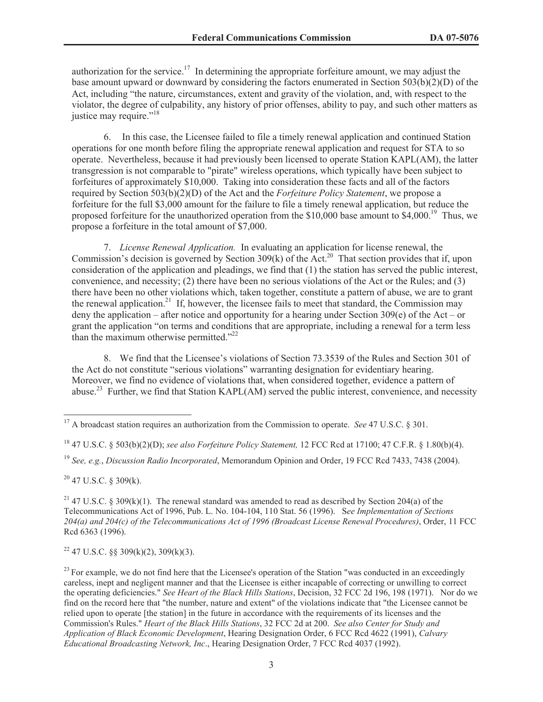authorization for the service.<sup>17</sup> In determining the appropriate forfeiture amount, we may adjust the base amount upward or downward by considering the factors enumerated in Section 503(b)(2)(D) of the Act, including "the nature, circumstances, extent and gravity of the violation, and, with respect to the violator, the degree of culpability, any history of prior offenses, ability to pay, and such other matters as justice may require."<sup>18</sup>

6. In this case, the Licensee failed to file a timely renewal application and continued Station operations for one month before filing the appropriate renewal application and request for STA to so operate. Nevertheless, because it had previously been licensed to operate Station KAPL(AM), the latter transgression is not comparable to "pirate" wireless operations, which typically have been subject to forfeitures of approximately \$10,000. Taking into consideration these facts and all of the factors required by Section 503(b)(2)(D) of the Act and the *Forfeiture Policy Statement*, we propose a forfeiture for the full \$3,000 amount for the failure to file a timely renewal application, but reduce the proposed forfeiture for the unauthorized operation from the  $$10,000$  base amount to  $$4,000$ .<sup>19</sup> Thus, we propose a forfeiture in the total amount of \$7,000.

7. *License Renewal Application.* In evaluating an application for license renewal, the Commission's decision is governed by Section 309(k) of the Act.<sup>20</sup> That section provides that if, upon consideration of the application and pleadings, we find that (1) the station has served the public interest, convenience, and necessity; (2) there have been no serious violations of the Act or the Rules; and (3) there have been no other violations which, taken together, constitute a pattern of abuse, we are to grant the renewal application.<sup>21</sup> If, however, the licensee fails to meet that standard, the Commission may deny the application – after notice and opportunity for a hearing under Section 309(e) of the Act – or grant the application "on terms and conditions that are appropriate, including a renewal for a term less than the maximum otherwise permitted. $2^{22}$ 

8. We find that the Licensee's violations of Section 73.3539 of the Rules and Section 301 of the Act do not constitute "serious violations" warranting designation for evidentiary hearing. Moreover, we find no evidence of violations that, when considered together, evidence a pattern of abuse.<sup>23</sup> Further, we find that Station KAPL(AM) served the public interest, convenience, and necessity

 $20$  47 U.S.C. § 309(k).

<sup>22</sup> 47 U.S.C. §§ 309(k)(2), 309(k)(3).

<sup>&</sup>lt;sup>17</sup> A broadcast station requires an authorization from the Commission to operate. *See* 47 U.S.C. § 301.

<sup>18</sup> 47 U.S.C. § 503(b)(2)(D); *see also Forfeiture Policy Statement,* 12 FCC Rcd at 17100; 47 C.F.R. § 1.80(b)(4).

<sup>19</sup> *See, e.g.*, *Discussion Radio Incorporated*, Memorandum Opinion and Order, 19 FCC Rcd 7433, 7438 (2004).

<sup>&</sup>lt;sup>21</sup> 47 U.S.C. § 309(k)(1). The renewal standard was amended to read as described by Section 204(a) of the Telecommunications Act of 1996, Pub. L. No. 104-104, 110 Stat. 56 (1996). S*ee Implementation of Sections 204(a) and 204(c) of the Telecommunications Act of 1996 (Broadcast License Renewal Procedures)*, Order, 11 FCC Rcd 6363 (1996).

 $^{23}$  For example, we do not find here that the Licensee's operation of the Station "was conducted in an exceedingly careless, inept and negligent manner and that the Licensee is either incapable of correcting or unwilling to correct the operating deficiencies." *See Heart of the Black Hills Stations*, Decision, 32 FCC 2d 196, 198 (1971). Nor do we find on the record here that "the number, nature and extent" of the violations indicate that "the Licensee cannot be relied upon to operate [the station] in the future in accordance with the requirements of its licenses and the Commission's Rules." *Heart of the Black Hills Stations*, 32 FCC 2d at 200. *See also Center for Study and Application of Black Economic Development*, Hearing Designation Order, 6 FCC Rcd 4622 (1991), *Calvary Educational Broadcasting Network, Inc*., Hearing Designation Order, 7 FCC Rcd 4037 (1992).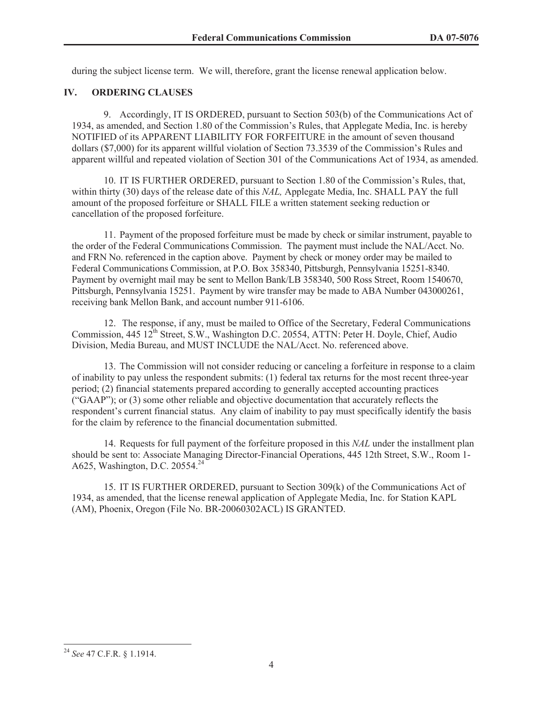during the subject license term. We will, therefore, grant the license renewal application below.

## **IV. ORDERING CLAUSES**

9. Accordingly, IT IS ORDERED, pursuant to Section 503(b) of the Communications Act of 1934, as amended, and Section 1.80 of the Commission's Rules, that Applegate Media, Inc. is hereby NOTIFIED of its APPARENT LIABILITY FOR FORFEITURE in the amount of seven thousand dollars (\$7,000) for its apparent willful violation of Section 73.3539 of the Commission's Rules and apparent willful and repeated violation of Section 301 of the Communications Act of 1934, as amended.

10. IT IS FURTHER ORDERED, pursuant to Section 1.80 of the Commission's Rules, that, within thirty (30) days of the release date of this *NAL,* Applegate Media, Inc. SHALL PAY the full amount of the proposed forfeiture or SHALL FILE a written statement seeking reduction or cancellation of the proposed forfeiture.

11. Payment of the proposed forfeiture must be made by check or similar instrument, payable to the order of the Federal Communications Commission. The payment must include the NAL/Acct. No. and FRN No. referenced in the caption above. Payment by check or money order may be mailed to Federal Communications Commission, at P.O. Box 358340, Pittsburgh, Pennsylvania 15251-8340. Payment by overnight mail may be sent to Mellon Bank/LB 358340, 500 Ross Street, Room 1540670, Pittsburgh, Pennsylvania 15251. Payment by wire transfer may be made to ABA Number 043000261, receiving bank Mellon Bank, and account number 911-6106.

12. The response, if any, must be mailed to Office of the Secretary, Federal Communications Commission, 445 12<sup>th</sup> Street, S.W., Washington D.C. 20554, ATTN: Peter H. Doyle, Chief, Audio Division, Media Bureau, and MUST INCLUDE the NAL/Acct. No. referenced above.

13. The Commission will not consider reducing or canceling a forfeiture in response to a claim of inability to pay unless the respondent submits: (1) federal tax returns for the most recent three-year period; (2) financial statements prepared according to generally accepted accounting practices ("GAAP"); or (3) some other reliable and objective documentation that accurately reflects the respondent's current financial status. Any claim of inability to pay must specifically identify the basis for the claim by reference to the financial documentation submitted.

14. Requests for full payment of the forfeiture proposed in this *NAL* under the installment plan should be sent to: Associate Managing Director-Financial Operations, 445 12th Street, S.W., Room 1- A625, Washington, D.C. 20554.<sup>24</sup>

15. IT IS FURTHER ORDERED, pursuant to Section 309(k) of the Communications Act of 1934, as amended, that the license renewal application of Applegate Media, Inc. for Station KAPL (AM), Phoenix, Oregon (File No. BR-20060302ACL) IS GRANTED.

<sup>24</sup> *See* 47 C.F.R. § 1.1914.